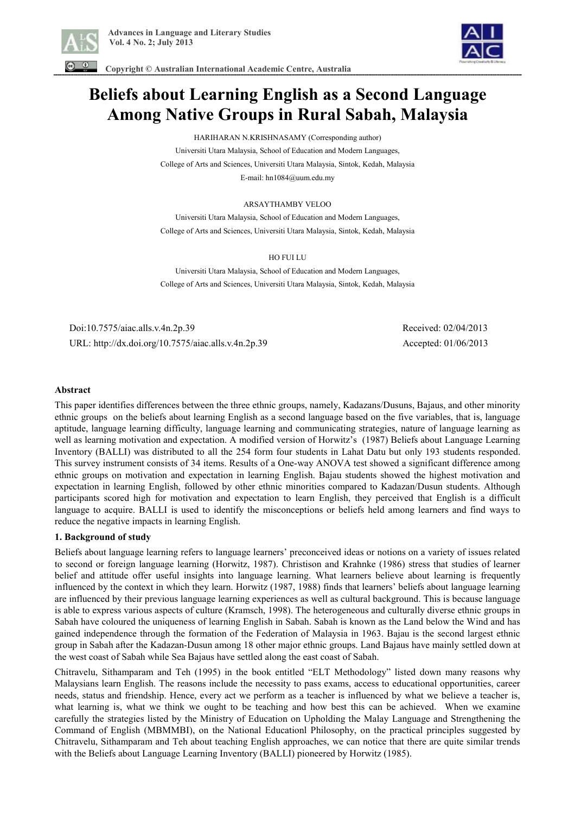



 **Copyright © Australian International Academic Centre, Australia** 

# **Beliefs about Learning English as a Second Language Among Native Groups in Rural Sabah, Malaysia**

HARIHARAN N.KRISHNASAMY (Corresponding author)

Universiti Utara Malaysia, School of Education and Modern Languages, College of Arts and Sciences, Universiti Utara Malaysia, Sintok, Kedah, Malaysia E-mail: hn1084@uum.edu.my

#### ARSAYTHAMBY VELOO

Universiti Utara Malaysia, School of Education and Modern Languages, College of Arts and Sciences, Universiti Utara Malaysia, Sintok, Kedah, Malaysia

#### HO FUI LU

Universiti Utara Malaysia, School of Education and Modern Languages, College of Arts and Sciences, Universiti Utara Malaysia, Sintok, Kedah, Malaysia

 Doi:10.7575/aiac.alls.v.4n.2p.39 Received: 02/04/2013 URL: http://dx.doi.org/10.7575/aiac.alls.v.4n.2p.39 Accepted: 01/06/2013

#### **Abstract**

This paper identifies differences between the three ethnic groups, namely, Kadazans/Dusuns, Bajaus, and other minority ethnic groups on the beliefs about learning English as a second language based on the five variables, that is, language aptitude, language learning difficulty, language learning and communicating strategies, nature of language learning as well as learning motivation and expectation. A modified version of Horwitz's (1987) Beliefs about Language Learning Inventory (BALLI) was distributed to all the 254 form four students in Lahat Datu but only 193 students responded. This survey instrument consists of 34 items. Results of a One-way ANOVA test showed a significant difference among ethnic groups on motivation and expectation in learning English. Bajau students showed the highest motivation and expectation in learning English, followed by other ethnic minorities compared to Kadazan/Dusun students. Although participants scored high for motivation and expectation to learn English, they perceived that English is a difficult language to acquire. BALLI is used to identify the misconceptions or beliefs held among learners and find ways to reduce the negative impacts in learning English.

# **1. Background of study**

Beliefs about language learning refers to language learners' preconceived ideas or notions on a variety of issues related to second or foreign language learning (Horwitz, 1987). Christison and Krahnke (1986) stress that studies of learner belief and attitude offer useful insights into language learning. What learners believe about learning is frequently influenced by the context in which they learn. Horwitz (1987, 1988) finds that learners' beliefs about language learning are influenced by their previous language learning experiences as well as cultural background. This is because language is able to express various aspects of culture (Kramsch, 1998). The heterogeneous and culturally diverse ethnic groups in Sabah have coloured the uniqueness of learning English in Sabah. Sabah is known as the Land below the Wind and has gained independence through the formation of the Federation of Malaysia in 1963. Bajau is the second largest ethnic group in Sabah after the Kadazan-Dusun among 18 other major ethnic groups. Land Bajaus have mainly settled down at the west coast of Sabah while Sea Bajaus have settled along the east coast of Sabah.

Chitravelu, Sithamparam and Teh (1995) in the book entitled "ELT Methodology" listed down many reasons why Malaysians learn English. The reasons include the necessity to pass exams, access to educational opportunities, career needs, status and friendship. Hence, every act we perform as a teacher is influenced by what we believe a teacher is, what learning is, what we think we ought to be teaching and how best this can be achieved. When we examine carefully the strategies listed by the Ministry of Education on Upholding the Malay Language and Strengthening the Command of English (MBMMBI), on the National Educationl Philosophy, on the practical principles suggested by Chitravelu, Sithamparam and Teh about teaching English approaches, we can notice that there are quite similar trends with the Beliefs about Language Learning Inventory (BALLI) pioneered by Horwitz (1985).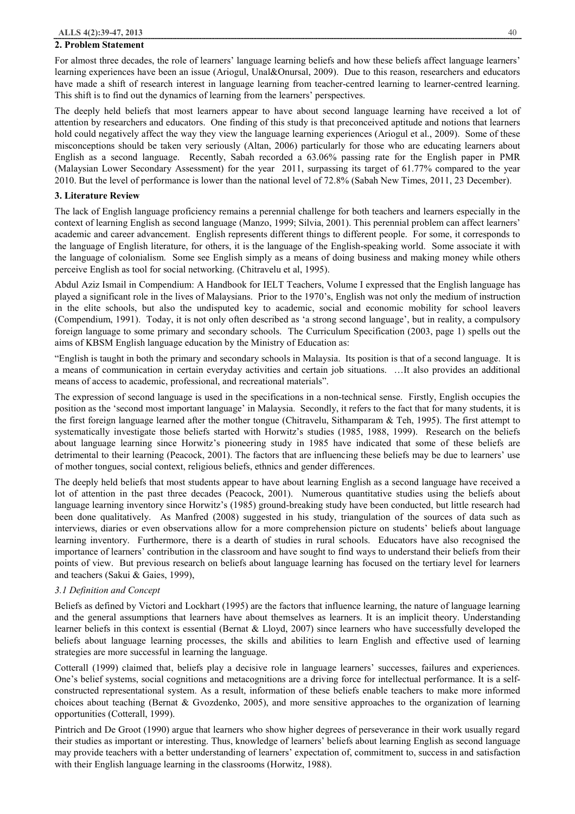## **2. Problem Statement**

For almost three decades, the role of learners' language learning beliefs and how these beliefs affect language learners' learning experiences have been an issue (Ariogul, Unal&Onursal, 2009). Due to this reason, researchers and educators have made a shift of research interest in language learning from teacher-centred learning to learner-centred learning. This shift is to find out the dynamics of learning from the learners' perspectives.

The deeply held beliefs that most learners appear to have about second language learning have received a lot of attention by researchers and educators. One finding of this study is that preconceived aptitude and notions that learners hold could negatively affect the way they view the language learning experiences (Ariogul et al., 2009). Some of these misconceptions should be taken very seriously (Altan, 2006) particularly for those who are educating learners about English as a second language. Recently, Sabah recorded a 63.06% passing rate for the English paper in PMR (Malaysian Lower Secondary Assessment) for the year 2011, surpassing its target of 61.77% compared to the year 2010. But the level of performance is lower than the national level of 72.8% (Sabah New Times, 2011, 23 December).

## **3. Literature Review**

The lack of English language proficiency remains a perennial challenge for both teachers and learners especially in the context of learning English as second language (Manzo, 1999; Silvia, 2001). This perennial problem can affect learners' academic and career advancement. English represents different things to different people. For some, it corresponds to the language of English literature, for others, it is the language of the English-speaking world. Some associate it with the language of colonialism. Some see English simply as a means of doing business and making money while others perceive English as tool for social networking. (Chitravelu et al, 1995).

Abdul Aziz Ismail in Compendium: A Handbook for IELT Teachers, Volume I expressed that the English language has played a significant role in the lives of Malaysians. Prior to the 1970's, English was not only the medium of instruction in the elite schools, but also the undisputed key to academic, social and economic mobility for school leavers (Compendium, 1991). Today, it is not only often described as 'a strong second language', but in reality, a compulsory foreign language to some primary and secondary schools. The Curriculum Specification (2003, page 1) spells out the aims of KBSM English language education by the Ministry of Education as:

"English is taught in both the primary and secondary schools in Malaysia. Its position is that of a second language. It is a means of communication in certain everyday activities and certain job situations. …It also provides an additional means of access to academic, professional, and recreational materials".

The expression of second language is used in the specifications in a non-technical sense. Firstly, English occupies the position as the 'second most important language' in Malaysia. Secondly, it refers to the fact that for many students, it is the first foreign language learned after the mother tongue (Chitravelu, Sithamparam  $\&$  Teh, 1995). The first attempt to systematically investigate those beliefs started with Horwitz's studies (1985, 1988, 1999). Research on the beliefs about language learning since Horwitz's pioneering study in 1985 have indicated that some of these beliefs are detrimental to their learning (Peacock, 2001). The factors that are influencing these beliefs may be due to learners' use of mother tongues, social context, religious beliefs, ethnics and gender differences.

The deeply held beliefs that most students appear to have about learning English as a second language have received a lot of attention in the past three decades (Peacock, 2001). Numerous quantitative studies using the beliefs about language learning inventory since Horwitz's (1985) ground-breaking study have been conducted, but little research had been done qualitatively. As Manfred (2008) suggested in his study, triangulation of the sources of data such as interviews, diaries or even observations allow for a more comprehension picture on students' beliefs about language learning inventory. Furthermore, there is a dearth of studies in rural schools. Educators have also recognised the importance of learners' contribution in the classroom and have sought to find ways to understand their beliefs from their points of view. But previous research on beliefs about language learning has focused on the tertiary level for learners and teachers (Sakui & Gaies, 1999),

#### *3.1 Definition and Concept*

Beliefs as defined by Victori and Lockhart (1995) are the factors that influence learning, the nature of language learning and the general assumptions that learners have about themselves as learners. It is an implicit theory. Understanding learner beliefs in this context is essential (Bernat & Lloyd, 2007) since learners who have successfully developed the beliefs about language learning processes, the skills and abilities to learn English and effective used of learning strategies are more successful in learning the language.

Cotterall (1999) claimed that, beliefs play a decisive role in language learners' successes, failures and experiences. One's belief systems, social cognitions and metacognitions are a driving force for intellectual performance. It is a selfconstructed representational system. As a result, information of these beliefs enable teachers to make more informed choices about teaching (Bernat & Gvozdenko, 2005), and more sensitive approaches to the organization of learning opportunities (Cotterall, 1999).

Pintrich and De Groot (1990) argue that learners who show higher degrees of perseverance in their work usually regard their studies as important or interesting. Thus, knowledge of learners' beliefs about learning English as second language may provide teachers with a better understanding of learners' expectation of, commitment to, success in and satisfaction with their English language learning in the classrooms (Horwitz, 1988).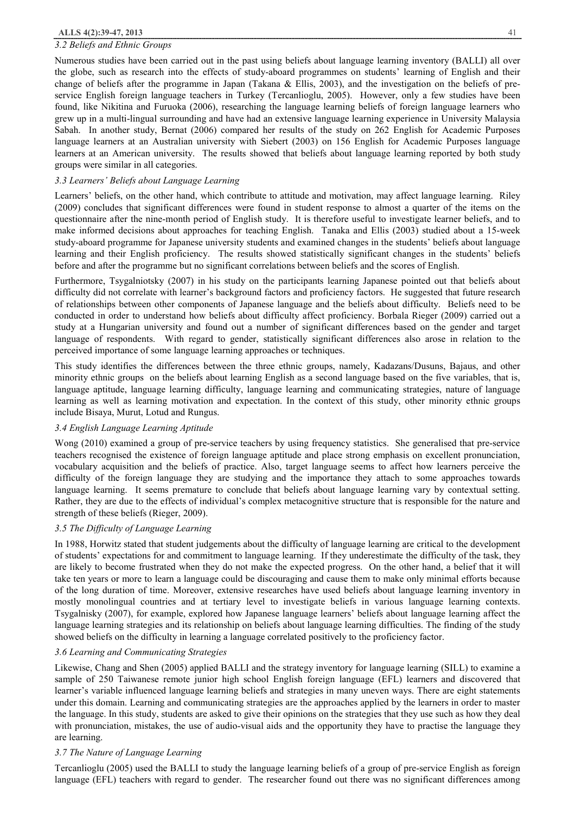## *3.2 Beliefs and Ethnic Groups*

Numerous studies have been carried out in the past using beliefs about language learning inventory (BALLI) all over the globe, such as research into the effects of study-aboard programmes on students' learning of English and their change of beliefs after the programme in Japan (Takana & Ellis, 2003), and the investigation on the beliefs of preservice English foreign language teachers in Turkey (Tercanlioglu, 2005). However, only a few studies have been found, like Nikitina and Furuoka (2006), researching the language learning beliefs of foreign language learners who grew up in a multi-lingual surrounding and have had an extensive language learning experience in University Malaysia Sabah. In another study, Bernat (2006) compared her results of the study on 262 English for Academic Purposes language learners at an Australian university with Siebert (2003) on 156 English for Academic Purposes language learners at an American university. The results showed that beliefs about language learning reported by both study groups were similar in all categories.

# *3.3 Learners' Beliefs about Language Learning*

Learners' beliefs, on the other hand, which contribute to attitude and motivation, may affect language learning. Riley (2009) concludes that significant differences were found in student response to almost a quarter of the items on the questionnaire after the nine-month period of English study. It is therefore useful to investigate learner beliefs, and to make informed decisions about approaches for teaching English. Tanaka and Ellis (2003) studied about a 15-week study-aboard programme for Japanese university students and examined changes in the students' beliefs about language learning and their English proficiency. The results showed statistically significant changes in the students' beliefs before and after the programme but no significant correlations between beliefs and the scores of English.

Furthermore, Tsygalniotsky (2007) in his study on the participants learning Japanese pointed out that beliefs about difficulty did not correlate with learner's background factors and proficiency factors. He suggested that future research of relationships between other components of Japanese language and the beliefs about difficulty. Beliefs need to be conducted in order to understand how beliefs about difficulty affect proficiency. Borbala Rieger (2009) carried out a study at a Hungarian university and found out a number of significant differences based on the gender and target language of respondents. With regard to gender, statistically significant differences also arose in relation to the perceived importance of some language learning approaches or techniques.

This study identifies the differences between the three ethnic groups, namely, Kadazans/Dusuns, Bajaus, and other minority ethnic groups on the beliefs about learning English as a second language based on the five variables, that is, language aptitude, language learning difficulty, language learning and communicating strategies, nature of language learning as well as learning motivation and expectation. In the context of this study, other minority ethnic groups include Bisaya, Murut, Lotud and Rungus.

## *3.4 English Language Learning Aptitude*

Wong (2010) examined a group of pre-service teachers by using frequency statistics. She generalised that pre-service teachers recognised the existence of foreign language aptitude and place strong emphasis on excellent pronunciation, vocabulary acquisition and the beliefs of practice. Also, target language seems to affect how learners perceive the difficulty of the foreign language they are studying and the importance they attach to some approaches towards language learning. It seems premature to conclude that beliefs about language learning vary by contextual setting. Rather, they are due to the effects of individual's complex metacognitive structure that is responsible for the nature and strength of these beliefs (Rieger, 2009).

# *3.5 The Difficulty of Language Learning*

In 1988, Horwitz stated that student judgements about the difficulty of language learning are critical to the development of students' expectations for and commitment to language learning. If they underestimate the difficulty of the task, they are likely to become frustrated when they do not make the expected progress. On the other hand, a belief that it will take ten years or more to learn a language could be discouraging and cause them to make only minimal efforts because of the long duration of time. Moreover, extensive researches have used beliefs about language learning inventory in mostly monolingual countries and at tertiary level to investigate beliefs in various language learning contexts. Tsygalnisky (2007), for example, explored how Japanese language learners' beliefs about language learning affect the language learning strategies and its relationship on beliefs about language learning difficulties. The finding of the study showed beliefs on the difficulty in learning a language correlated positively to the proficiency factor.

# *3.6 Learning and Communicating Strategies*

Likewise, Chang and Shen (2005) applied BALLI and the strategy inventory for language learning (SILL) to examine a sample of 250 Taiwanese remote junior high school English foreign language (EFL) learners and discovered that learner's variable influenced language learning beliefs and strategies in many uneven ways. There are eight statements under this domain. Learning and communicating strategies are the approaches applied by the learners in order to master the language. In this study, students are asked to give their opinions on the strategies that they use such as how they deal with pronunciation, mistakes, the use of audio-visual aids and the opportunity they have to practise the language they are learning.

## *3.7 The Nature of Language Learning*

Tercanlioglu (2005) used the BALLI to study the language learning beliefs of a group of pre-service English as foreign language (EFL) teachers with regard to gender. The researcher found out there was no significant differences among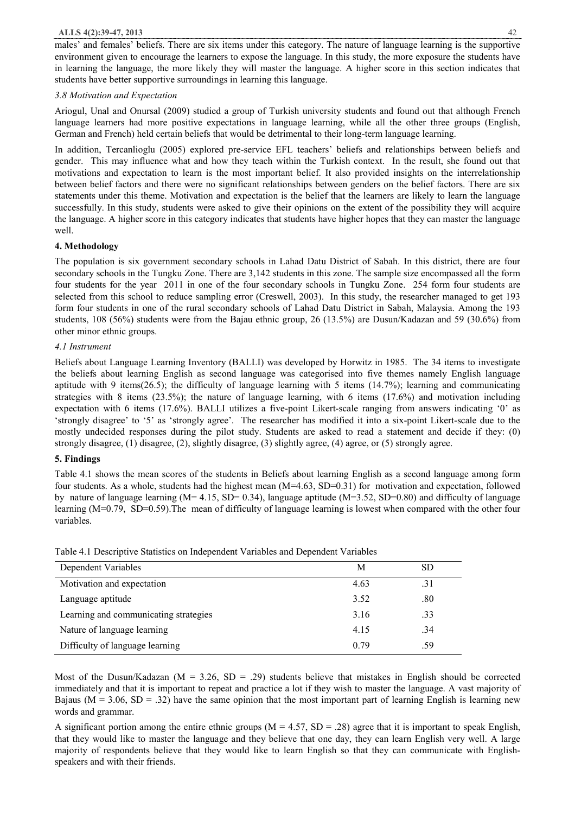#### **ALLS 4(2):39-47, 2013** 42

males' and females' beliefs. There are six items under this category. The nature of language learning is the supportive environment given to encourage the learners to expose the language. In this study, the more exposure the students have in learning the language, the more likely they will master the language. A higher score in this section indicates that students have better supportive surroundings in learning this language.

# *3.8 Motivation and Expectation*

Ariogul, Unal and Onursal (2009) studied a group of Turkish university students and found out that although French language learners had more positive expectations in language learning, while all the other three groups (English, German and French) held certain beliefs that would be detrimental to their long-term language learning.

In addition, Tercanlioglu (2005) explored pre-service EFL teachers' beliefs and relationships between beliefs and gender. This may influence what and how they teach within the Turkish context. In the result, she found out that motivations and expectation to learn is the most important belief. It also provided insights on the interrelationship between belief factors and there were no significant relationships between genders on the belief factors. There are six statements under this theme. Motivation and expectation is the belief that the learners are likely to learn the language successfully. In this study, students were asked to give their opinions on the extent of the possibility they will acquire the language. A higher score in this category indicates that students have higher hopes that they can master the language well.

# **4. Methodology**

The population is six government secondary schools in Lahad Datu District of Sabah. In this district, there are four secondary schools in the Tungku Zone. There are 3,142 students in this zone. The sample size encompassed all the form four students for the year 2011 in one of the four secondary schools in Tungku Zone. 254 form four students are selected from this school to reduce sampling error (Creswell, 2003). In this study, the researcher managed to get 193 form four students in one of the rural secondary schools of Lahad Datu District in Sabah, Malaysia. Among the 193 students, 108 (56%) students were from the Bajau ethnic group, 26 (13.5%) are Dusun/Kadazan and 59 (30.6%) from other minor ethnic groups.

# *4.1 Instrument*

Beliefs about Language Learning Inventory (BALLI) was developed by Horwitz in 1985. The 34 items to investigate the beliefs about learning English as second language was categorised into five themes namely English language aptitude with 9 items(26.5); the difficulty of language learning with 5 items (14.7%); learning and communicating strategies with 8 items (23.5%); the nature of language learning, with 6 items (17.6%) and motivation including expectation with 6 items (17.6%). BALLI utilizes a five-point Likert-scale ranging from answers indicating '0' as 'strongly disagree' to '5' as 'strongly agree'. The researcher has modified it into a six-point Likert-scale due to the mostly undecided responses during the pilot study. Students are asked to read a statement and decide if they: (0) strongly disagree, (1) disagree, (2), slightly disagree, (3) slightly agree, (4) agree, or (5) strongly agree.

# **5. Findings**

Table 4.1 shows the mean scores of the students in Beliefs about learning English as a second language among form four students. As a whole, students had the highest mean (M=4.63, SD=0.31) for motivation and expectation, followed by nature of language learning (M= 4.15, SD= 0.34), language aptitude (M=3.52, SD=0.80) and difficulty of language learning (M=0.79, SD=0.59). The mean of difficulty of language learning is lowest when compared with the other four variables.

| Dependent Variables                   | M    | SD  |
|---------------------------------------|------|-----|
| Motivation and expectation            | 4.63 | .31 |
| Language aptitude                     | 3.52 | .80 |
| Learning and communicating strategies | 3.16 | .33 |
| Nature of language learning           | 4.15 | .34 |
| Difficulty of language learning       | 0.79 | .59 |

Table 4.1 Descriptive Statistics on Independent Variables and Dependent Variables

Most of the Dusun/Kadazan ( $M = 3.26$ ,  $SD = .29$ ) students believe that mistakes in English should be corrected immediately and that it is important to repeat and practice a lot if they wish to master the language. A vast majority of Bajaus ( $M = 3.06$ ,  $SD = .32$ ) have the same opinion that the most important part of learning English is learning new words and grammar.

A significant portion among the entire ethnic groups  $(M = 4.57, SD = .28)$  agree that it is important to speak English. that they would like to master the language and they believe that one day, they can learn English very well. A large majority of respondents believe that they would like to learn English so that they can communicate with Englishspeakers and with their friends.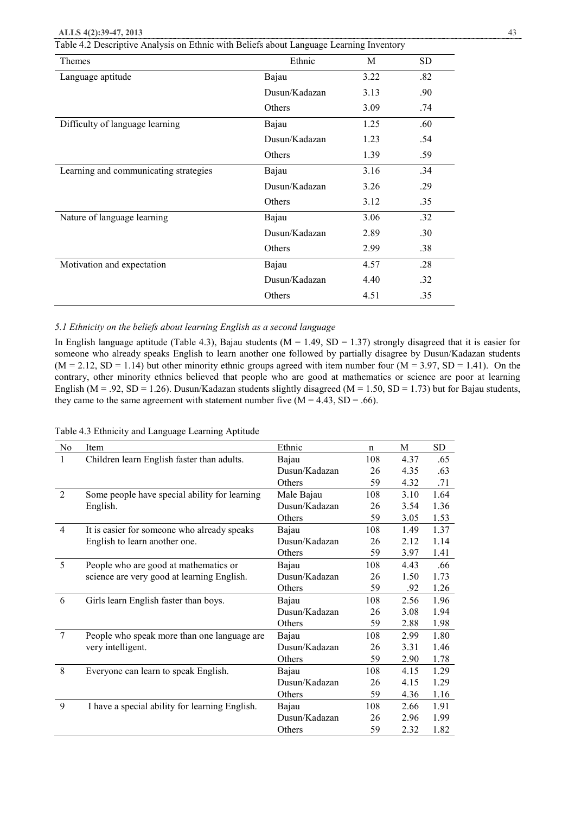| <b>Themes</b>                         | Ethnic        | M    | SD. |
|---------------------------------------|---------------|------|-----|
| Language aptitude                     | Bajau         | 3.22 | .82 |
|                                       | Dusun/Kadazan | 3.13 | .90 |
|                                       | Others        | 3.09 | .74 |
| Difficulty of language learning       | Bajau         | 1.25 | .60 |
|                                       | Dusun/Kadazan | 1.23 | .54 |
|                                       | Others        | 1.39 | .59 |
| Learning and communicating strategies | Bajau         | 3.16 | .34 |
|                                       | Dusun/Kadazan | 3.26 | .29 |
|                                       | Others        | 3.12 | .35 |
| Nature of language learning           | Bajau         | 3.06 | .32 |
|                                       | Dusun/Kadazan | 2.89 | .30 |
|                                       | Others        | 2.99 | .38 |
| Motivation and expectation            | Bajau         | 4.57 | .28 |
|                                       | Dusun/Kadazan | 4.40 | .32 |
|                                       | Others        | 4.51 | .35 |

Table 4.2 Descriptive Analysis on Ethnic with Beliefs about Language Learning Inventory

#### *5.1 Ethnicity on the beliefs about learning English as a second language*

In English language aptitude (Table 4.3), Bajau students ( $M = 1.49$ ,  $SD = 1.37$ ) strongly disagreed that it is easier for someone who already speaks English to learn another one followed by partially disagree by Dusun/Kadazan students  $(M = 2.12, SD = 1.14)$  but other minority ethnic groups agreed with item number four  $(M = 3.97, SD = 1.41)$ . On the contrary, other minority ethnics believed that people who are good at mathematics or science are poor at learning English ( $M = .92$ ,  $SD = 1.26$ ). Dusun/Kadazan students slightly disagreed ( $M = 1.50$ ,  $SD = 1.73$ ) but for Bajau students, they came to the same agreement with statement number five  $(M = 4.43, SD = .66)$ .

Table 4.3 Ethnicity and Language Learning Aptitude

| N <sub>0</sub> | Item                                           | Ethnic        | $\mathsf{n}$ | M    | SD.  |
|----------------|------------------------------------------------|---------------|--------------|------|------|
| 1              | Children learn English faster than adults.     | Bajau         | 108          | 4.37 | .65  |
|                |                                                | Dusun/Kadazan | 26           | 4.35 | .63  |
|                |                                                | Others        | 59           | 4.32 | .71  |
| 2              | Some people have special ability for learning  | Male Bajau    | 108          | 3.10 | 1.64 |
|                | English.                                       | Dusun/Kadazan | 26           | 3.54 | 1.36 |
|                |                                                | Others        | 59           | 3.05 | 1.53 |
| $\overline{4}$ | It is easier for someone who already speaks    | Bajau         | 108          | 1.49 | 1.37 |
|                | English to learn another one.                  | Dusun/Kadazan | 26           | 2.12 | 1.14 |
|                |                                                | Others        | 59           | 3.97 | 1.41 |
| 5              | People who are good at mathematics or          | Bajau         | 108          | 4.43 | .66  |
|                | science are very good at learning English.     | Dusun/Kadazan | 26           | 1.50 | 1.73 |
|                |                                                | Others        | 59           | .92  | 1.26 |
| 6              | Girls learn English faster than boys.          | Bajau         | 108          | 2.56 | 1.96 |
|                |                                                | Dusun/Kadazan | 26           | 3.08 | 1.94 |
|                |                                                | Others        | 59           | 2.88 | 1.98 |
| 7              | People who speak more than one language are    | Bajau         | 108          | 2.99 | 1.80 |
|                | very intelligent.                              | Dusun/Kadazan | 26           | 3.31 | 1.46 |
|                |                                                | Others        | 59           | 2.90 | 1.78 |
| 8              | Everyone can learn to speak English.           | Bajau         | 108          | 4.15 | 1.29 |
|                |                                                | Dusun/Kadazan | 26           | 4.15 | 1.29 |
|                |                                                | Others        | 59           | 4.36 | 1.16 |
| 9              | I have a special ability for learning English. | Bajau         | 108          | 2.66 | 1.91 |
|                |                                                | Dusun/Kadazan | 26           | 2.96 | 1.99 |
|                |                                                | Others        | 59           | 2.32 | 1.82 |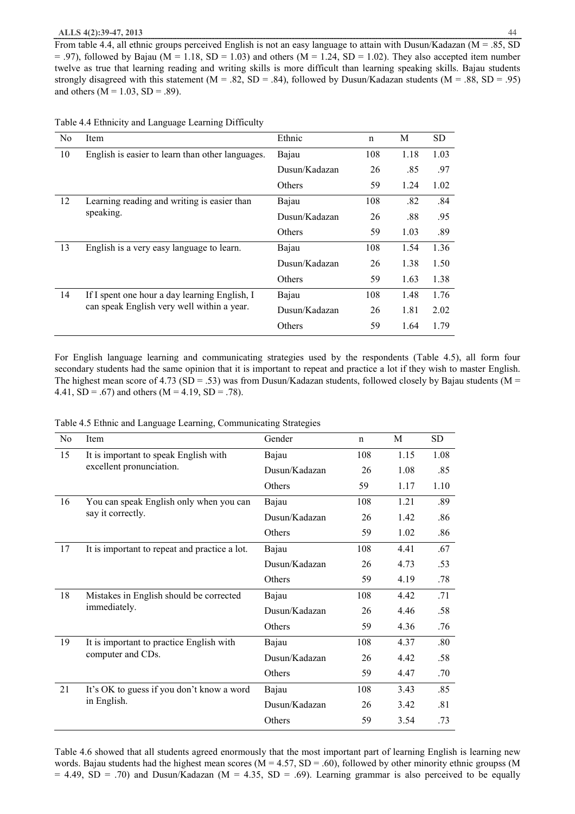#### **ALLS 4(2):39-47, 2013** 44

From table 4.4, all ethnic groups perceived English is not an easy language to attain with Dusun/Kadazan (M = .85, SD  $= .97$ ), followed by Bajau (M = 1.18, SD = 1.03) and others (M = 1.24, SD = 1.02). They also accepted item number twelve as true that learning reading and writing skills is more difficult than learning speaking skills. Bajau students strongly disagreed with this statement ( $M = .82$ ,  $SD = .84$ ), followed by Dusun/Kadazan students ( $M = .88$ ,  $SD = .95$ ) and others  $(M = 1.03, SD = .89)$ .

|  | Table 4.4 Ethnicity and Language Learning Difficulty |  |
|--|------------------------------------------------------|--|
|  |                                                      |  |

| No        | Item                                             | Ethnic        | n    | M    | <b>SD</b> |
|-----------|--------------------------------------------------|---------------|------|------|-----------|
| 10        | English is easier to learn than other languages. | Bajau         | 108  | 1.18 | 1.03      |
|           |                                                  | Dusun/Kadazan | 26   | .85  | .97       |
|           |                                                  | Others        | 59   | 1.24 | 1.02      |
| 12        | Learning reading and writing is easier than      | Bajau         | 108  | .82  | .84       |
| speaking. | Dusun/Kadazan                                    | 26            | .88  | .95  |           |
|           | Others                                           | 59            | 1.03 | .89  |           |
| 13        | English is a very easy language to learn.        | Bajau         | 108  | 1.54 | 1.36      |
|           |                                                  | Dusun/Kadazan | 26   | 1.38 | 1.50      |
|           |                                                  | Others        | 59   | 1.63 | 1.38      |
| 14        | If I spent one hour a day learning English, I    | Bajau         | 108  | 1.48 | 1.76      |
|           | can speak English very well within a year.       | Dusun/Kadazan | 26   | 1.81 | 2.02      |
|           |                                                  | Others        | 59   | 1.64 | 1.79      |

For English language learning and communicating strategies used by the respondents (Table 4.5), all form four secondary students had the same opinion that it is important to repeat and practice a lot if they wish to master English. The highest mean score of 4.73 (SD = .53) was from Dusun/Kadazan students, followed closely by Bajau students (M = 4.41,  $SD = .67$ ) and others (M = 4.19,  $SD = .78$ ).

Table 4.5 Ethnic and Language Learning, Communicating Strategies

| $\rm No$ | Item                                          | Gender        | $\mathbf n$ | M    | <b>SD</b> |
|----------|-----------------------------------------------|---------------|-------------|------|-----------|
| 15       | It is important to speak English with         | Bajau         | 108         | 1.15 | 1.08      |
|          | excellent pronunciation.                      | Dusun/Kadazan | 26          | 1.08 | .85       |
|          |                                               | Others        | 59          | 1.17 | 1.10      |
| 16       | You can speak English only when you can       | Bajau         | 108         | 1.21 | .89       |
|          | say it correctly.                             | Dusun/Kadazan | 26          | 1.42 | .86       |
|          |                                               | Others        | 59          | 1.02 | .86       |
| 17       | It is important to repeat and practice a lot. | Bajau         | 108         | 4.41 | .67       |
|          |                                               | Dusun/Kadazan | 26          | 4.73 | .53       |
|          |                                               | Others        | 59          | 4.19 | .78       |
| 18       | Mistakes in English should be corrected       | Bajau         | 108         | 4.42 | .71       |
|          | immediately.                                  | Dusun/Kadazan | 26          | 4.46 | .58       |
|          |                                               | Others        | 59          | 4.36 | .76       |
| 19       | It is important to practice English with      | Bajau         | 108         | 4.37 | .80       |
|          | computer and CDs.                             | Dusun/Kadazan | 26          | 4.42 | .58       |
|          |                                               | Others        | 59          | 4.47 | .70       |
| 21       | It's OK to guess if you don't know a word     | Bajau         | 108         | 3.43 | .85       |
|          | in English.                                   | Dusun/Kadazan | 26          | 3.42 | .81       |
|          |                                               | Others        | 59          | 3.54 | .73       |
|          |                                               |               |             |      |           |

Table 4.6 showed that all students agreed enormously that the most important part of learning English is learning new words. Bajau students had the highest mean scores ( $M = 4.57$ ,  $SD = .60$ ), followed by other minority ethnic groupss (M  $= 4.49$ , SD = .70) and Dusun/Kadazan (M = 4.35, SD = .69). Learning grammar is also perceived to be equally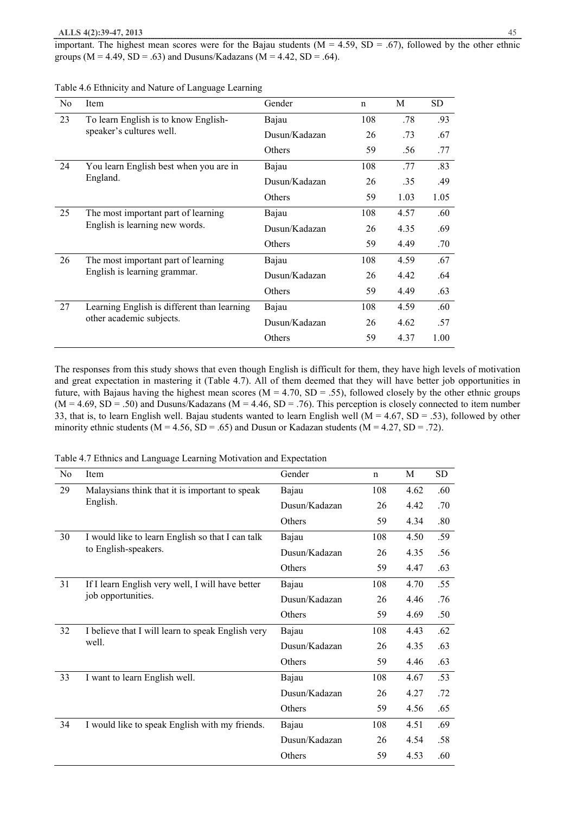important. The highest mean scores were for the Bajau students ( $M = 4.59$ ,  $SD = .67$ ), followed by the other ethnic groups ( $M = 4.49$ ,  $SD = .63$ ) and Dusuns/Kadazans ( $M = 4.42$ ,  $SD = .64$ ).

|  |  | Table 4.6 Ethnicity and Nature of Language Learning |
|--|--|-----------------------------------------------------|
|  |  |                                                     |

| N <sub>0</sub> | Item                                                             | Gender        | n    | M    | SD.  |
|----------------|------------------------------------------------------------------|---------------|------|------|------|
| 23             | To learn English is to know English-<br>speaker's cultures well. | Bajau         | 108  | .78  | .93  |
|                |                                                                  | Dusun/Kadazan | 26   | .73  | .67  |
|                |                                                                  | Others        | 59   | .56  | .77  |
| 24             | You learn English best when you are in                           | Bajau         | 108  | .77  | .83  |
|                | England.                                                         | Dusun/Kadazan | 26   | .35  | .49  |
|                | Others                                                           | 59            | 1.03 | 1.05 |      |
| 25             | The most important part of learning                              | Bajau         | 108  | 4.57 | .60  |
|                | English is learning new words.                                   | Dusun/Kadazan | 26   | 4.35 | .69  |
|                |                                                                  | <b>Others</b> | 59   | 4.49 | .70  |
| 26             | The most important part of learning                              | Bajau         | 108  | 4.59 | .67  |
|                | English is learning grammar.                                     | Dusun/Kadazan | 26   | 4.42 | .64  |
|                |                                                                  | Others        | 59   | 4.49 | .63  |
| 27             | Learning English is different than learning                      | Bajau         | 108  | 4.59 | .60  |
|                | other academic subjects.                                         | Dusun/Kadazan | 26   | 4.62 | .57  |
|                |                                                                  | Others        | 59   | 4.37 | 1.00 |

The responses from this study shows that even though English is difficult for them, they have high levels of motivation and great expectation in mastering it (Table 4.7). All of them deemed that they will have better job opportunities in future, with Bajaus having the highest mean scores ( $M = 4.70$ ,  $SD = .55$ ), followed closely by the other ethnic groups  $(M = 4.69, SD = .50)$  and Dusuns/Kadazans  $(M = 4.46, SD = .76)$ . This perception is closely connected to item number 33, that is, to learn English well. Bajau students wanted to learn English well ( $M = 4.67$ , SD = .53), followed by other minority ethnic students ( $M = 4.56$ ,  $SD = .65$ ) and Dusun or Kadazan students ( $M = 4.27$ ,  $SD = .72$ ).

Table 4.7 Ethnics and Language Learning Motivation and Expectation

| No                 | Item                                              | Gender        | n    | М    | SD. |
|--------------------|---------------------------------------------------|---------------|------|------|-----|
| 29                 | Malaysians think that it is important to speak    | Bajau         | 108  | 4.62 | .60 |
|                    | English.                                          | Dusun/Kadazan | 26   | 4.42 | .70 |
|                    |                                                   | Others        | 59   | 4.34 | .80 |
| 30                 | I would like to learn English so that I can talk  | Bajau         | 108  | 4.50 | .59 |
|                    | to English-speakers.                              | Dusun/Kadazan | 26   | 4.35 | .56 |
|                    |                                                   | Others        | 59   | 4.47 | .63 |
| 31                 | If I learn English very well, I will have better  | Bajau         | 108  | 4.70 | .55 |
| job opportunities. | Dusun/Kadazan                                     | 26            | 4.46 | .76  |     |
|                    |                                                   | Others        | 59   | 4.69 | .50 |
| 32                 | I believe that I will learn to speak English very | Bajau         | 108  | 4.43 | .62 |
|                    | well.                                             | Dusun/Kadazan | 26   | 4.35 | .63 |
|                    |                                                   | Others        | 59   | 4.46 | .63 |
| 33                 | I want to learn English well.                     | Bajau         | 108  | 4.67 | .53 |
|                    |                                                   | Dusun/Kadazan | 26   | 4.27 | .72 |
|                    |                                                   | Others        | 59   | 4.56 | .65 |
| 34                 | I would like to speak English with my friends.    | Bajau         | 108  | 4.51 | .69 |
|                    |                                                   | Dusun/Kadazan | 26   | 4.54 | .58 |
|                    |                                                   | Others        | 59   | 4.53 | .60 |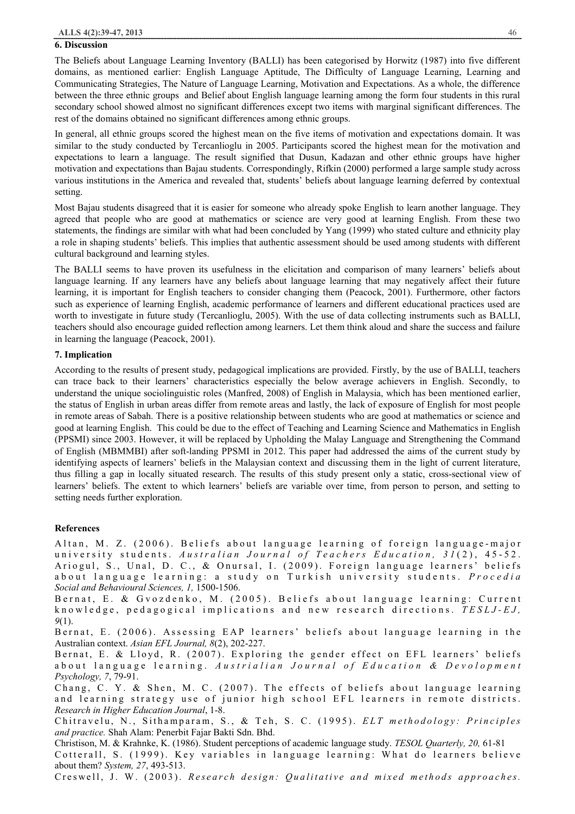#### **6. Discussion**

The Beliefs about Language Learning Inventory (BALLI) has been categorised by Horwitz (1987) into five different domains, as mentioned earlier: English Language Aptitude, The Difficulty of Language Learning, Learning and Communicating Strategies, The Nature of Language Learning, Motivation and Expectations. As a whole, the difference between the three ethnic groups and Belief about English language learning among the form four students in this rural secondary school showed almost no significant differences except two items with marginal significant differences. The rest of the domains obtained no significant differences among ethnic groups.

In general, all ethnic groups scored the highest mean on the five items of motivation and expectations domain. It was similar to the study conducted by Tercanlioglu in 2005. Participants scored the highest mean for the motivation and expectations to learn a language. The result signified that Dusun, Kadazan and other ethnic groups have higher motivation and expectations than Bajau students. Correspondingly, Rifkin (2000) performed a large sample study across various institutions in the America and revealed that, students' beliefs about language learning deferred by contextual setting.

Most Bajau students disagreed that it is easier for someone who already spoke English to learn another language. They agreed that people who are good at mathematics or science are very good at learning English. From these two statements, the findings are similar with what had been concluded by Yang (1999) who stated culture and ethnicity play a role in shaping students' beliefs. This implies that authentic assessment should be used among students with different cultural background and learning styles.

The BALLI seems to have proven its usefulness in the elicitation and comparison of many learners' beliefs about language learning. If any learners have any beliefs about language learning that may negatively affect their future learning, it is important for English teachers to consider changing them (Peacock, 2001). Furthermore, other factors such as experience of learning English, academic performance of learners and different educational practices used are worth to investigate in future study (Tercanlioglu, 2005). With the use of data collecting instruments such as BALLI, teachers should also encourage guided reflection among learners. Let them think aloud and share the success and failure in learning the language (Peacock, 2001).

## **7. Implication**

According to the results of present study, pedagogical implications are provided. Firstly, by the use of BALLI, teachers can trace back to their learners' characteristics especially the below average achievers in English. Secondly, to understand the unique sociolinguistic roles (Manfred, 2008) of English in Malaysia, which has been mentioned earlier, the status of English in urban areas differ from remote areas and lastly, the lack of exposure of English for most people in remote areas of Sabah. There is a positive relationship between students who are good at mathematics or science and good at learning English. This could be due to the effect of Teaching and Learning Science and Mathematics in English (PPSMI) since 2003. However, it will be replaced by Upholding the Malay Language and Strengthening the Command of English (MBMMBI) after soft-landing PPSMI in 2012. This paper had addressed the aims of the current study by identifying aspects of learners' beliefs in the Malaysian context and discussing them in the light of current literature, thus filling a gap in locally situated research. The results of this study present only a static, cross-sectional view of learners' beliefs. The extent to which learners' beliefs are variable over time, from person to person, and setting to setting needs further exploration.

#### **References**

Altan, M. Z. (2006). Beliefs about language learning of foreign language-major university students. Australian Journal of Teachers Education, 31(2), 45-52. Ariogul, S., Unal, D. C., & Onursal, I. (2009). Foreign language learners' beliefs about language learning: a study on Turkish university students. *Procedia Social and Behavioural Sciences, 1,* 1500-1506.

Bernat, E. & Gvozdenko, M. (2005). Beliefs about language learning: Current knowledge, pedagogical implications and new research directions. TESLJ-EJ, *9*(1).

Bernat, E. (2006). Assessing EAP learners' beliefs about language learning in the Australian context. *Asian EFL Journal, 8*(2), 202-227.

Bernat, E. & Lloyd, R. (2007). Exploring the gender effect on EFL learners' beliefs about language learning. Austrialian Journal of Education & Devolopment *Psychology, 7*, 79-91.

Chang, C. Y. & Shen, M. C. (2007). The effects of beliefs about language learning and learning strategy use of junior high school EFL learners in remote districts. *Research in Higher Education Journal*, 1-8.

Chitravelu, N., Sithamparam, S., & Teh, S. C. (1995). ELT methodology: Principles *and practice.* Shah Alam: Penerbit Fajar Bakti Sdn. Bhd.

Christison, M. & Krahnke, K. (1986). Student perceptions of academic language study. *TESOL Quarterly, 20,* 61-81 Cotterall, S. (1999). Key variables in language learning: What do learners believe about them? *System, 27*, 493-513.

Creswell, J. W. (2003). Research design: Qualitative and mixed methods approaches.